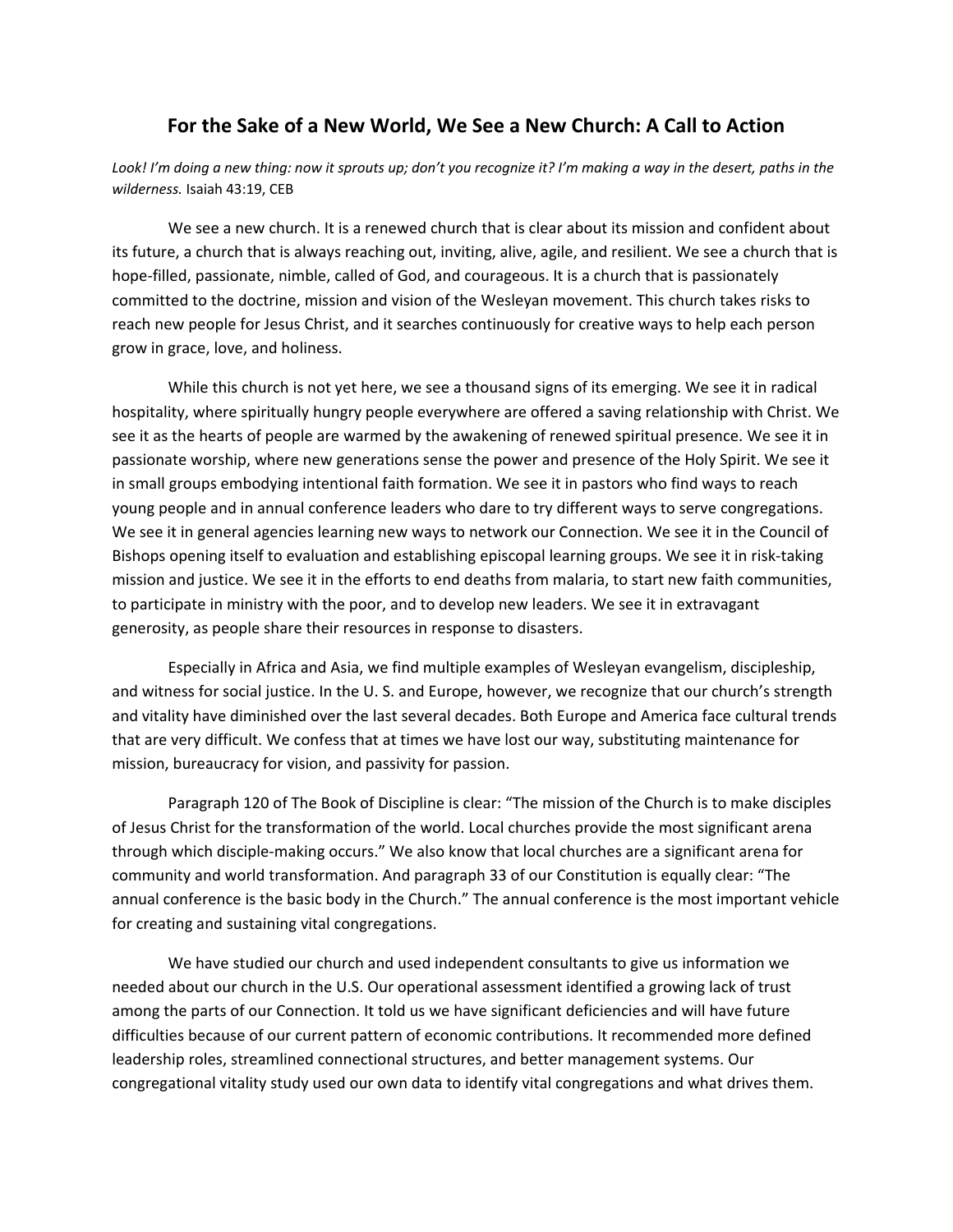## **For the Sake of a New World, We See a New Church: A Call to Action**

Look! I'm doing a new thing: now it sprouts up; don't you recognize it? I'm making a way in the desert, paths in the *wilderness.* Isaiah 43:19, CEB

We see a new church. It is a renewed church that is clear about its mission and confident about its future, a church that is always reaching out, inviting, alive, agile, and resilient. We see a church that is hope-filled, passionate, nimble, called of God, and courageous. It is a church that is passionately committed to the doctrine, mission and vision of the Wesleyan movement. This church takes risks to reach new people for Jesus Christ, and it searches continuously for creative ways to help each person grow in grace, love, and holiness.

While this church is not yet here, we see a thousand signs of its emerging. We see it in radical hospitality, where spiritually hungry people everywhere are offered a saving relationship with Christ. We see it as the hearts of people are warmed by the awakening of renewed spiritual presence. We see it in passionate worship, where new generations sense the power and presence of the Holy Spirit. We see it in small groups embodying intentional faith formation. We see it in pastors who find ways to reach young people and in annual conference leaders who dare to try different ways to serve congregations. We see it in general agencies learning new ways to network our Connection. We see it in the Council of Bishops opening itself to evaluation and establishing episcopal learning groups. We see it in risk‐taking mission and justice. We see it in the efforts to end deaths from malaria, to start new faith communities, to participate in ministry with the poor, and to develop new leaders. We see it in extravagant generosity, as people share their resources in response to disasters.

Especially in Africa and Asia, we find multiple examples of Wesleyan evangelism, discipleship, and witness for social justice. In the U. S. and Europe, however, we recognize that our church's strength and vitality have diminished over the last several decades. Both Europe and America face cultural trends that are very difficult. We confess that at times we have lost our way, substituting maintenance for mission, bureaucracy for vision, and passivity for passion.

Paragraph 120 of The Book of Discipline is clear: "The mission of the Church is to make disciples of Jesus Christ for the transformation of the world. Local churches provide the most significant arena through which disciple‐making occurs." We also know that local churches are a significant arena for community and world transformation. And paragraph 33 of our Constitution is equally clear: "The annual conference is the basic body in the Church." The annual conference is the most important vehicle for creating and sustaining vital congregations.

We have studied our church and used independent consultants to give us information we needed about our church in the U.S. Our operational assessment identified a growing lack of trust among the parts of our Connection. It told us we have significant deficiencies and will have future difficulties because of our current pattern of economic contributions. It recommended more defined leadership roles, streamlined connectional structures, and better management systems. Our congregational vitality study used our own data to identify vital congregations and what drives them.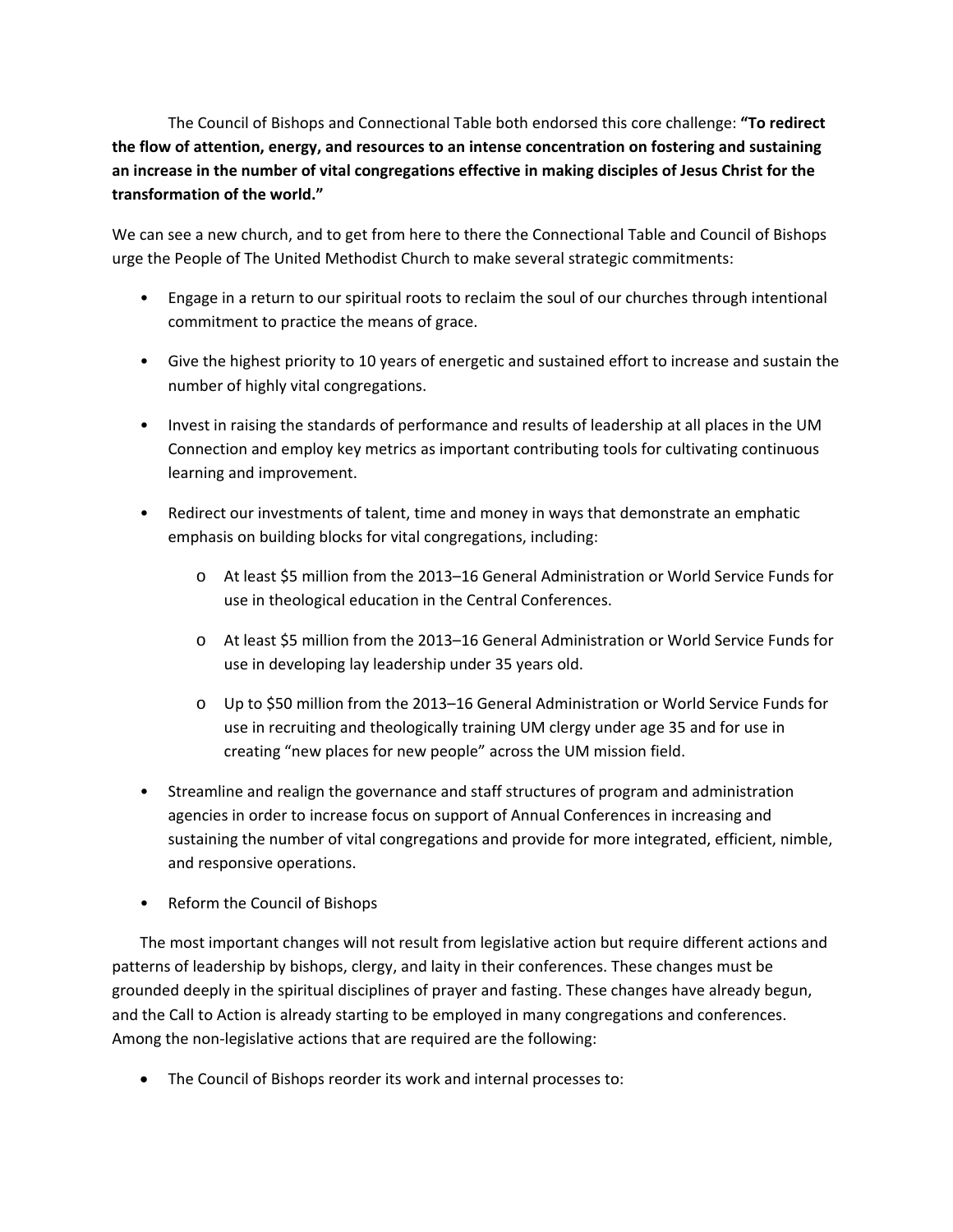The Council of Bishops and Connectional Table both endorsed this core challenge: **"To redirect the flow of attention, energy, and resources to an intense concentration on fostering and sustaining an increase in the number of vital congregations effective in making disciples of Jesus Christ for the transformation of the world."**

We can see a new church, and to get from here to there the Connectional Table and Council of Bishops urge the People of The United Methodist Church to make several strategic commitments:

- Engage in a return to our spiritual roots to reclaim the soul of our churches through intentional commitment to practice the means of grace.
- Give the highest priority to 10 years of energetic and sustained effort to increase and sustain the number of highly vital congregations.
- Invest in raising the standards of performance and results of leadership at all places in the UM Connection and employ key metrics as important contributing tools for cultivating continuous learning and improvement.
- Redirect our investments of talent, time and money in ways that demonstrate an emphatic emphasis on building blocks for vital congregations, including:
	- o At least \$5 million from the 2013–16 General Administration or World Service Funds for use in theological education in the Central Conferences.
	- o At least \$5 million from the 2013–16 General Administration or World Service Funds for use in developing lay leadership under 35 years old.
	- o Up to \$50 million from the 2013–16 General Administration or World Service Funds for use in recruiting and theologically training UM clergy under age 35 and for use in creating "new places for new people" across the UM mission field.
- Streamline and realign the governance and staff structures of program and administration agencies in order to increase focus on support of Annual Conferences in increasing and sustaining the number of vital congregations and provide for more integrated, efficient, nimble, and responsive operations.
- Reform the Council of Bishops

The most important changes will not result from legislative action but require different actions and patterns of leadership by bishops, clergy, and laity in their conferences. These changes must be grounded deeply in the spiritual disciplines of prayer and fasting. These changes have already begun, and the Call to Action is already starting to be employed in many congregations and conferences. Among the non-legislative actions that are required are the following:

The Council of Bishops reorder its work and internal processes to: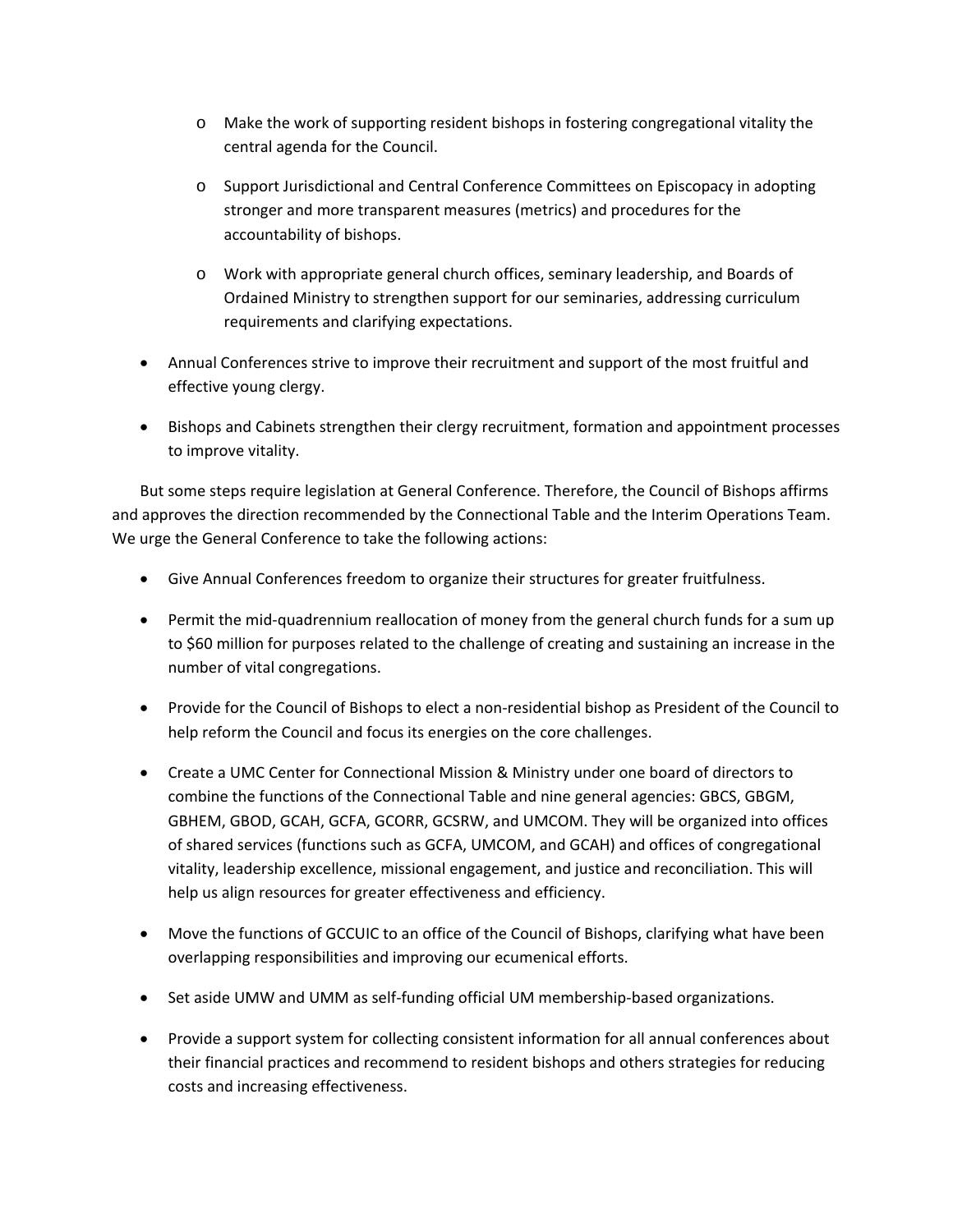- o Make the work of supporting resident bishops in fostering congregational vitality the central agenda for the Council.
- o Support Jurisdictional and Central Conference Committees on Episcopacy in adopting stronger and more transparent measures (metrics) and procedures for the accountability of bishops.
- o Work with appropriate general church offices, seminary leadership, and Boards of Ordained Ministry to strengthen support for our seminaries, addressing curriculum requirements and clarifying expectations.
- Annual Conferences strive to improve their recruitment and support of the most fruitful and effective young clergy.
- Bishops and Cabinets strengthen their clergy recruitment, formation and appointment processes to improve vitality.

But some steps require legislation at General Conference. Therefore, the Council of Bishops affirms and approves the direction recommended by the Connectional Table and the Interim Operations Team. We urge the General Conference to take the following actions:

- Give Annual Conferences freedom to organize their structures for greater fruitfulness.
- Permit the mid-quadrennium reallocation of money from the general church funds for a sum up to \$60 million for purposes related to the challenge of creating and sustaining an increase in the number of vital congregations.
- Provide for the Council of Bishops to elect a non-residential bishop as President of the Council to help reform the Council and focus its energies on the core challenges.
- Create a UMC Center for Connectional Mission & Ministry under one board of directors to combine the functions of the Connectional Table and nine general agencies: GBCS, GBGM, GBHEM, GBOD, GCAH, GCFA, GCORR, GCSRW, and UMCOM. They will be organized into offices of shared services (functions such as GCFA, UMCOM, and GCAH) and offices of congregational vitality, leadership excellence, missional engagement, and justice and reconciliation. This will help us align resources for greater effectiveness and efficiency.
- Move the functions of GCCUIC to an office of the Council of Bishops, clarifying what have been overlapping responsibilities and improving our ecumenical efforts.
- Set aside UMW and UMM as self-funding official UM membership-based organizations.
- Provide a support system for collecting consistent information for all annual conferences about their financial practices and recommend to resident bishops and others strategies for reducing costs and increasing effectiveness.